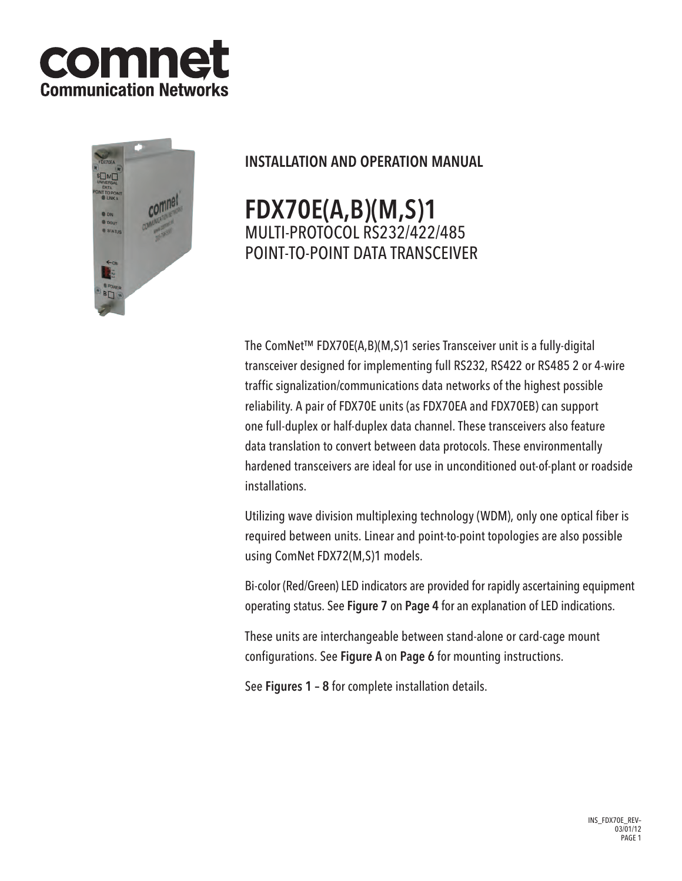



## INSTALLATION AND OPERATION MANUAL

# FDX70E(A,B)(M,S)1 multi-protocol RS232/422/485 POINT-TO-POINT DATA TRANSCEIVER

The ComNet™ FDX70E(A,B)(M,S)1 series Transceiver unit is a fully-digital transceiver designed for implementing full RS232, RS422 or RS485 2 or 4-wire traffic signalization/communications data networks of the highest possible reliability. A pair of FDX70E units (as FDX70EA and FDX70EB) can support one full-duplex or half-duplex data channel. These transceivers also feature data translation to convert between data protocols. These environmentally hardened transceivers are ideal for use in unconditioned out-of-plant or roadside installations.

Utilizing wave division multiplexing technology (WDM), only one optical fiber is required between units. Linear and point-to-point topologies are also possible using ComNet FDX72(M,S)1 models.

Bi-color (Red/Green) LED indicators are provided for rapidly ascertaining equipment operating status. See Figure 7 on Page 4 for an explanation of LED indications.

These units are interchangeable between stand-alone or card-cage mount configurations. See Figure A on Page 6 for mounting instructions.

See Figures 1 – 8 for complete installation details.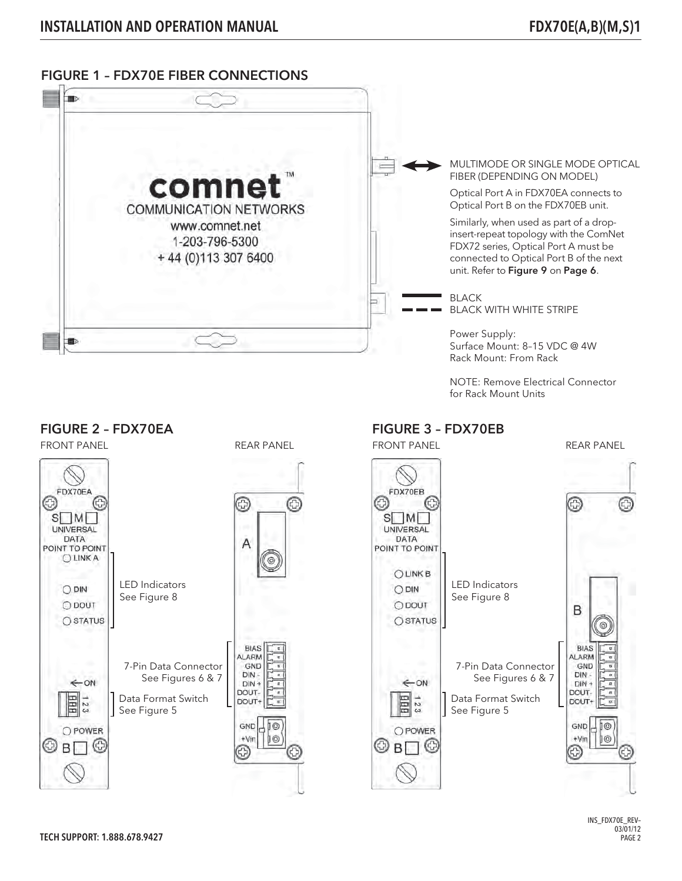### FIGURE 1 – FDX70E FIBER CONNECTIONS



NOTE: Remove Electrical Connector for Rack Mount Units



# $10$

**J**⊙

 $\circledcirc$ 

⊙

INS\_FDX70E\_REV–  $03/01/12$ PAGE 2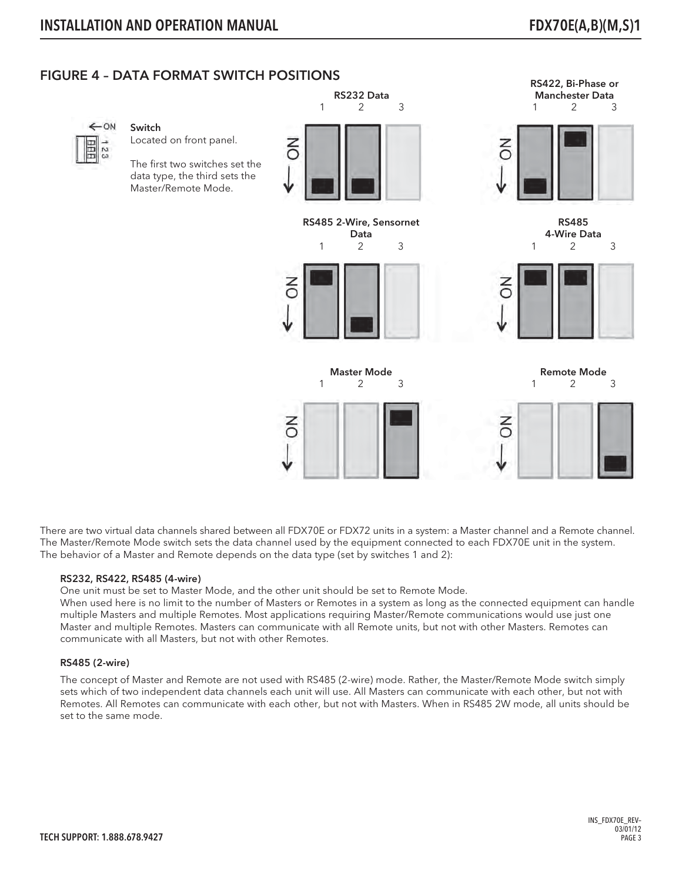RS422, Bi-Phase or

## FIGURE 4 – DATA FORMAT SWITCH POSITIONS



#### Switch

Located on front panel.

The first two switches set the data type, the third sets the Master/Remote Mode.



RS485 2-Wire, Sensornet Data 1 2 3



Master Mode 1 2 3





4-Wire Data 1 2 3



Remote Mode 1 2 3



There are two virtual data channels shared between all FDX70E or FDX72 units in a system: a Master channel and a Remote channel. The Master/Remote Mode switch sets the data channel used by the equipment connected to each FDX70E unit in the system. The behavior of a Master and Remote depends on the data type (set by switches 1 and 2):

#### RS232, RS422, RS485 (4-wire)

One unit must be set to Master Mode, and the other unit should be set to Remote Mode.

When used here is no limit to the number of Masters or Remotes in a system as long as the connected equipment can handle multiple Masters and multiple Remotes. Most applications requiring Master/Remote communications would use just one Master and multiple Remotes. Masters can communicate with all Remote units, but not with other Masters. Remotes can communicate with all Masters, but not with other Remotes.

#### RS485 (2-wire)

The concept of Master and Remote are not used with RS485 (2-wire) mode. Rather, the Master/Remote Mode switch simply sets which of two independent data channels each unit will use. All Masters can communicate with each other, but not with Remotes. All Remotes can communicate with each other, but not with Masters. When in RS485 2W mode, all units should be set to the same mode.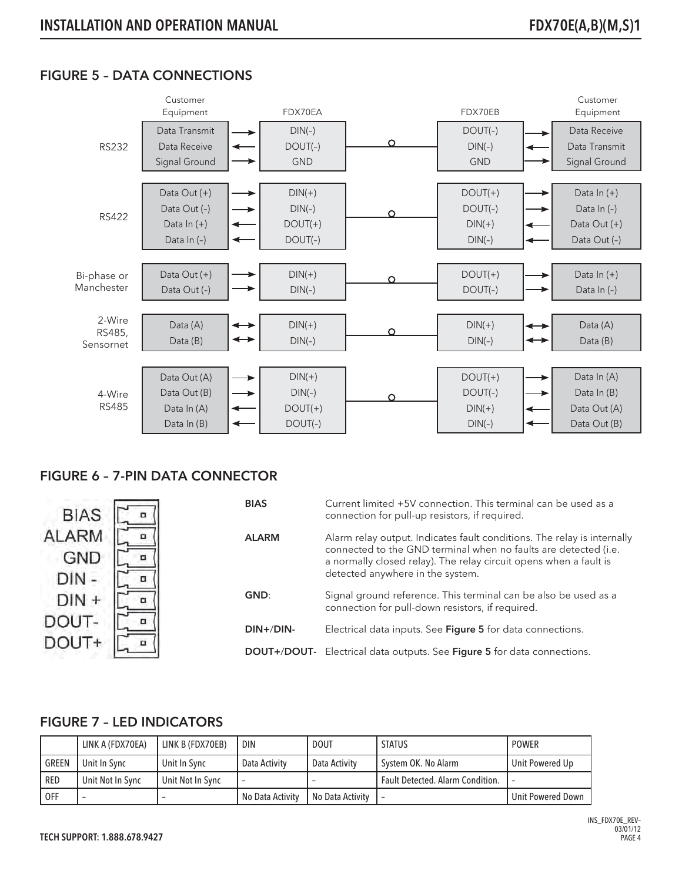## FIGURE 5 – DATA CONNECTIONS



## FIGURE 6 – 7-PIN DATA CONNECTOR



## FIGURE 7 – LED INDICATORS

|              | LINK A (FDX70EA) | LINK B (FDX70EB) | <b>DIN</b>         | <b>DOUT</b>      | <b>STATUS</b>                           | <b>POWER</b>        |
|--------------|------------------|------------------|--------------------|------------------|-----------------------------------------|---------------------|
| <b>GREEN</b> | Unit In Sync     | Unit In Sync     | Data Activity      | Data Activity    | System OK. No Alarm                     | ' Unit Powered Up   |
| RED          | Unit Not In Sync | Unit Not In Sync |                    |                  | <b>Fault Detected. Alarm Condition.</b> |                     |
| 0FF          |                  |                  | l No Data Activity | No Data Activity | $\overline{\phantom{a}}$                | ' Unit Powered Down |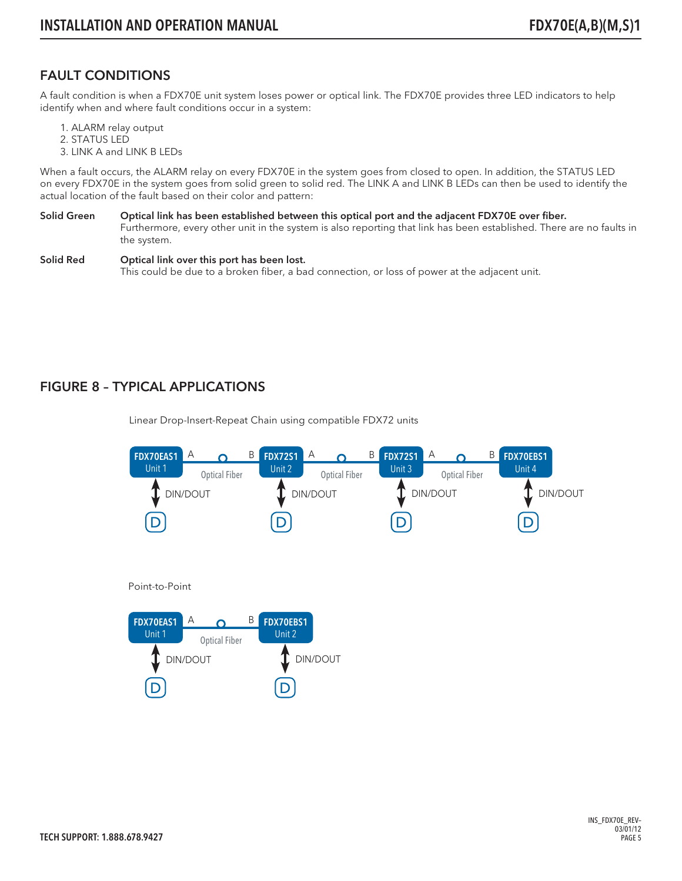## FAULT CONDITIONS

A fault condition is when a FDX70E unit system loses power or optical link. The FDX70E provides three LED indicators to help identify when and where fault conditions occur in a system:

- 1. ALARM relay output
- 2. STATUS LED
- 3. LINK A and LINK B LEDs

When a fault occurs, the ALARM relay on every FDX70E in the system goes from closed to open. In addition, the STATUS LED on every FDX70E in the system goes from solid green to solid red. The LINK A and LINK B LEDs can then be used to identify the actual location of the fault based on their color and pattern:

- Solid Green Optical link has been established between this optical port and the adjacent FDX70E over fiber. Furthermore, every other unit in the system is also reporting that link has been established. There are no faults in the system.
- Solid Red **Optical link over this port has been lost.** This could be due to a broken fiber, a bad connection, or loss of power at the adjacent unit.

## FIGURE 8 – TYPICAL APPLICATIONS

Linear Drop-Insert-Repeat Chain using compatible FDX72 units